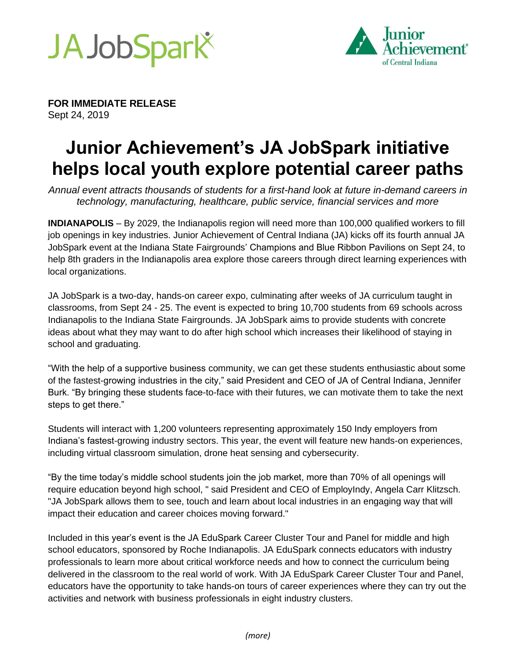



**FOR IMMEDIATE RELEASE** Sept 24, 2019

# **Junior Achievement's JA JobSpark initiative helps local youth explore potential career paths**

*Annual event attracts thousands of students for a first-hand look at future in-demand careers in technology, manufacturing, healthcare, public service, financial services and more*

**INDIANAPOLIS** – By 2029, the Indianapolis region will need more than 100,000 qualified workers to fill job openings in key industries. Junior Achievement of Central Indiana (JA) kicks off its fourth annual JA JobSpark event at the Indiana State Fairgrounds' Champions and Blue Ribbon Pavilions on Sept 24, to help 8th graders in the Indianapolis area explore those careers through direct learning experiences with local organizations.

JA JobSpark is a two-day, hands-on career expo, culminating after weeks of JA curriculum taught in classrooms, from Sept 24 - 25. The event is expected to bring 10,700 students from 69 schools across Indianapolis to the Indiana State Fairgrounds. JA JobSpark aims to provide students with concrete ideas about what they may want to do after high school which increases their likelihood of staying in school and graduating.

"With the help of a supportive business community, we can get these students enthusiastic about some of the fastest-growing industries in the city," said President and CEO of JA of Central Indiana, Jennifer Burk. "By bringing these students face-to-face with their futures, we can motivate them to take the next steps to get there."

Students will interact with 1,200 volunteers representing approximately 150 Indy employers from Indiana's fastest-growing industry sectors. This year, the event will feature new hands-on experiences, including virtual classroom simulation, drone heat sensing and cybersecurity.

"By the time today's middle school students join the job market, more than 70% of all openings will require education beyond high school, " said President and CEO of EmployIndy, Angela Carr Klitzsch. "JA JobSpark allows them to see, touch and learn about local industries in an engaging way that will impact their education and career choices moving forward."

Included in this year's event is the JA EduSpark Career Cluster Tour and Panel for middle and high school educators, sponsored by Roche Indianapolis. JA EduSpark connects educators with industry professionals to learn more about critical workforce needs and how to connect the curriculum being delivered in the classroom to the real world of work. With JA EduSpark Career Cluster Tour and Panel, educators have the opportunity to take hands-on tours of career experiences where they can try out the activities and network with business professionals in eight industry clusters.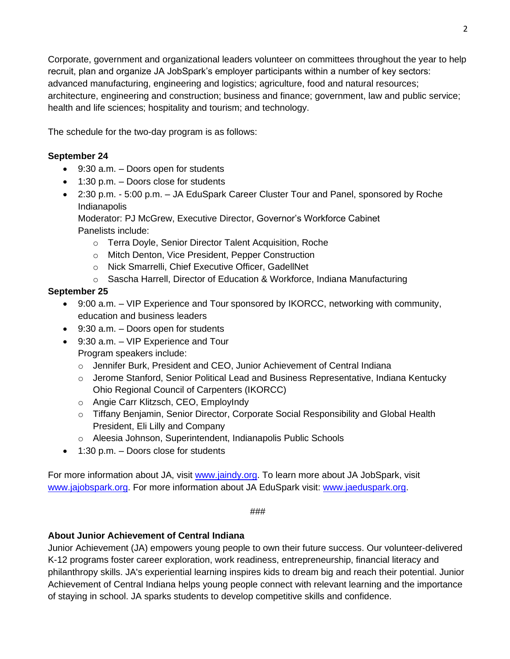Corporate, government and organizational leaders volunteer on committees throughout the year to help recruit, plan and organize JA JobSpark's employer participants within a number of key sectors: advanced manufacturing, engineering and logistics; agriculture, food and natural resources; architecture, engineering and construction; business and finance; government, law and public service; health and life sciences; hospitality and tourism; and technology.

The schedule for the two-day program is as follows:

## **September 24**

- 9:30 a.m. Doors open for students
- 1:30 p.m. Doors close for students
- 2:30 p.m. 5:00 p.m. JA EduSpark Career Cluster Tour and Panel, sponsored by Roche Indianapolis

Moderator: PJ McGrew, Executive Director, Governor's Workforce Cabinet Panelists include:

- o Terra Doyle, Senior Director Talent Acquisition, Roche
- o Mitch Denton, Vice President, Pepper Construction
- o Nick Smarrelli, Chief Executive Officer, GadellNet
- o Sascha Harrell, Director of Education & Workforce, Indiana Manufacturing

# **September 25**

- 9:00 a.m. VIP Experience and Tour sponsored by IKORCC, networking with community, education and business leaders
- 9:30 a.m. Doors open for students
- 9:30 a.m. VIP Experience and Tour Program speakers include:
	- o Jennifer Burk, President and CEO, Junior Achievement of Central Indiana
	- $\circ$  Jerome Stanford, Senior Political Lead and Business Representative, Indiana Kentucky Ohio Regional Council of Carpenters (IKORCC)
	- o Angie Carr Klitzsch, CEO, EmployIndy
	- o Tiffany Benjamin, Senior Director, Corporate Social Responsibility and Global Health President, Eli Lilly and Company
	- o Aleesia Johnson, Superintendent, Indianapolis Public Schools
- 1:30 p.m. Doors close for students

For more information about JA, visit [www.jaindy.org.](http://www.jaindy.org/) To learn more about JA JobSpark, visit [www.jajobspark.org.](file:///C:/Users/tjones/AppData/Local/Microsoft/Windows/Temporary%20Internet%20Files/Content.Outlook/K7DLU9CM/www.jajobspark.org) For more information about JA EduSpark visit: [www.jaeduspark.org.](http://www.jaeduspark.org/)

###

## **About Junior Achievement of Central Indiana**

Junior Achievement (JA) empowers young people to own their future success. Our volunteer-delivered K-12 programs foster career exploration, work readiness, entrepreneurship, financial literacy and philanthropy skills. JA's experiential learning inspires kids to dream big and reach their potential. Junior Achievement of Central Indiana helps young people connect with relevant learning and the importance of staying in school. JA sparks students to develop competitive skills and confidence.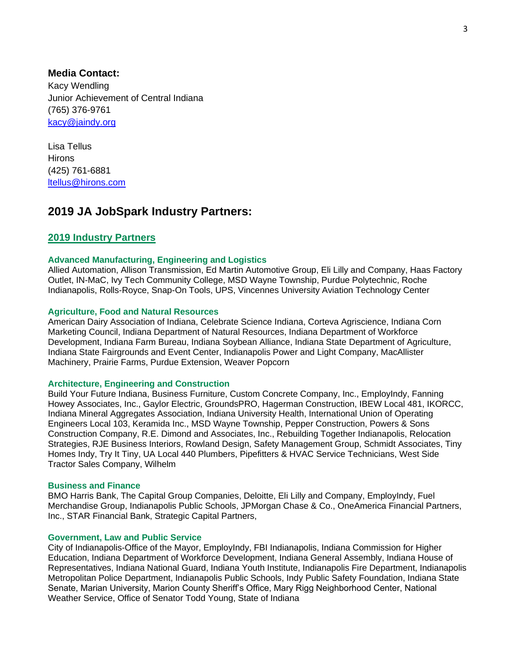**Media Contact:**  Kacy Wendling Junior Achievement of Central Indiana (765) 376-9761 [kacy@jaindy.org](mailto:kacy@jaindy.org)

Lisa Tellus **Hirons** (425) 761-6881 [ltellus@hirons.com](mailto:ltellus@hirons.com)

# **2019 JA JobSpark Industry Partners:**

## **2019 Industry Partners**

## **Advanced Manufacturing, Engineering and Logistics**

Allied Automation, Allison Transmission, Ed Martin Automotive Group, Eli Lilly and Company, Haas Factory Outlet, IN-MaC, Ivy Tech Community College, MSD Wayne Township, Purdue Polytechnic, Roche Indianapolis, Rolls-Royce, Snap-On Tools, UPS, Vincennes University Aviation Technology Center

#### **Agriculture, Food and Natural Resources**

American Dairy Association of Indiana, Celebrate Science Indiana, Corteva Agriscience, Indiana Corn Marketing Council, Indiana Department of Natural Resources, Indiana Department of Workforce Development, Indiana Farm Bureau, Indiana Soybean Alliance, Indiana State Department of Agriculture, Indiana State Fairgrounds and Event Center, Indianapolis Power and Light Company, MacAllister Machinery, Prairie Farms, Purdue Extension, Weaver Popcorn

## **Architecture, Engineering and Construction**

Build Your Future Indiana, Business Furniture, Custom Concrete Company, Inc., EmployIndy, Fanning Howey Associates, Inc., Gaylor Electric, GroundsPRO, Hagerman Construction, IBEW Local 481, IKORCC, Indiana Mineral Aggregates Association, Indiana University Health, International Union of Operating Engineers Local 103, Keramida Inc., MSD Wayne Township, Pepper Construction, Powers & Sons Construction Company, R.E. Dimond and Associates, Inc., Rebuilding Together Indianapolis, Relocation Strategies, RJE Business Interiors, Rowland Design, Safety Management Group, Schmidt Associates, Tiny Homes Indy, Try It Tiny, UA Local 440 Plumbers, Pipefitters & HVAC Service Technicians, West Side Tractor Sales Company, Wilhelm

#### **Business and Finance**

BMO Harris Bank, The Capital Group Companies, Deloitte, Eli Lilly and Company, EmployIndy, Fuel Merchandise Group, Indianapolis Public Schools, JPMorgan Chase & Co., OneAmerica Financial Partners, Inc., STAR Financial Bank, Strategic Capital Partners,

## **Government, Law and Public Service**

City of Indianapolis-Office of the Mayor, EmployIndy, FBI Indianapolis, Indiana Commission for Higher Education, Indiana Department of Workforce Development, Indiana General Assembly, Indiana House of Representatives, Indiana National Guard, Indiana Youth Institute, Indianapolis Fire Department, Indianapolis Metropolitan Police Department, Indianapolis Public Schools, Indy Public Safety Foundation, Indiana State Senate, Marian University, Marion County Sheriff's Office, Mary Rigg Neighborhood Center, National Weather Service, Office of Senator Todd Young, State of Indiana